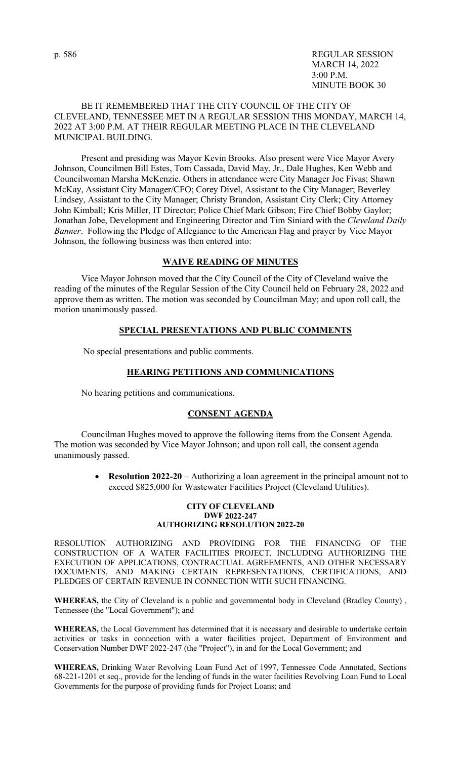# BE IT REMEMBERED THAT THE CITY COUNCIL OF THE CITY OF CLEVELAND, TENNESSEE MET IN A REGULAR SESSION THIS MONDAY, MARCH 14, 2022 AT 3:00 P.M. AT THEIR REGULAR MEETING PLACE IN THE CLEVELAND MUNICIPAL BUILDING.

 Present and presiding was Mayor Kevin Brooks. Also present were Vice Mayor Avery Johnson, Councilmen Bill Estes, Tom Cassada, David May, Jr., Dale Hughes, Ken Webb and Councilwoman Marsha McKenzie. Others in attendance were City Manager Joe Fivas; Shawn McKay, Assistant City Manager/CFO; Corey Divel, Assistant to the City Manager; Beverley Lindsey, Assistant to the City Manager; Christy Brandon, Assistant City Clerk; City Attorney John Kimball; Kris Miller, IT Director; Police Chief Mark Gibson; Fire Chief Bobby Gaylor; Jonathan Jobe, Development and Engineering Director and Tim Siniard with the *Cleveland Daily Banner*. Following the Pledge of Allegiance to the American Flag and prayer by Vice Mayor Johnson, the following business was then entered into:

# **WAIVE READING OF MINUTES**

Vice Mayor Johnson moved that the City Council of the City of Cleveland waive the reading of the minutes of the Regular Session of the City Council held on February 28, 2022 and approve them as written. The motion was seconded by Councilman May; and upon roll call, the motion unanimously passed.

#### **SPECIAL PRESENTATIONS AND PUBLIC COMMENTS**

No special presentations and public comments.

# **HEARING PETITIONS AND COMMUNICATIONS**

No hearing petitions and communications.

# **CONSENT AGENDA**

 Councilman Hughes moved to approve the following items from the Consent Agenda. The motion was seconded by Vice Mayor Johnson; and upon roll call, the consent agenda unanimously passed.

> • **Resolution 2022-20** – Authorizing a loan agreement in the principal amount not to exceed \$825,000 for Wastewater Facilities Project (Cleveland Utilities).

#### **CITY OF CLEVELAND DWF 2022-247 AUTHORIZING RESOLUTION 2022-20**

RESOLUTION AUTHORIZING AND PROVIDING FOR THE FINANCING OF THE CONSTRUCTION OF A WATER FACILITIES PROJECT, INCLUDING AUTHORIZING THE EXECUTION OF APPLICATIONS, CONTRACTUAL AGREEMENTS, AND OTHER NECESSARY DOCUMENTS, AND MAKING CERTAIN REPRESENTATIONS, CERTIFICATIONS, AND PLEDGES OF CERTAIN REVENUE IN CONNECTION WITH SUCH FINANCING.

**WHEREAS,** the City of Cleveland is a public and governmental body in Cleveland (Bradley County) , Tennessee (the "Local Government"); and

**WHEREAS,** the Local Government has determined that it is necessary and desirable to undertake certain activities or tasks in connection with a water facilities project, Department of Environment and Conservation Number DWF 2022-247 (the "Project"), in and for the Local Government; and

**WHEREAS,** Drinking Water Revolving Loan Fund Act of 1997, Tennessee Code Annotated, Sections 68-221-1201 et seq., provide for the lending of funds in the water facilities Revolving Loan Fund to Local Governments for the purpose of providing funds for Project Loans; and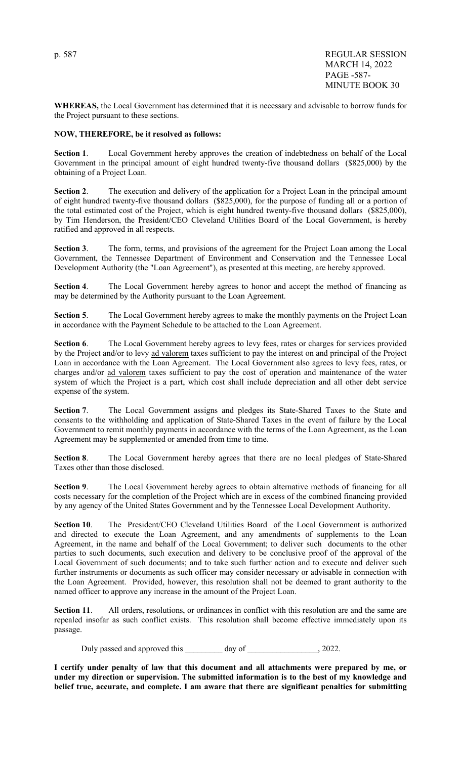p. 587 REGULAR SESSION MARCH 14, 2022 PAGE -587- MINUTE BOOK 30

**WHEREAS,** the Local Government has determined that it is necessary and advisable to borrow funds for the Project pursuant to these sections.

#### **NOW, THEREFORE, be it resolved as follows:**

**Section 1**. Local Government hereby approves the creation of indebtedness on behalf of the Local Government in the principal amount of eight hundred twenty-five thousand dollars (\$825,000) by the obtaining of a Project Loan.

**Section 2**. The execution and delivery of the application for a Project Loan in the principal amount of eight hundred twenty-five thousand dollars (\$825,000), for the purpose of funding all or a portion of the total estimated cost of the Project, which is eight hundred twenty-five thousand dollars (\$825,000), by Tim Henderson, the President/CEO Cleveland Utilities Board of the Local Government, is hereby ratified and approved in all respects.

**Section 3**. The form, terms, and provisions of the agreement for the Project Loan among the Local Government, the Tennessee Department of Environment and Conservation and the Tennessee Local Development Authority (the "Loan Agreement"), as presented at this meeting, are hereby approved.

**Section 4.** The Local Government hereby agrees to honor and accept the method of financing as may be determined by the Authority pursuant to the Loan Agreement.

**Section 5.** The Local Government hereby agrees to make the monthly payments on the Project Loan in accordance with the Payment Schedule to be attached to the Loan Agreement.

**Section 6.** The Local Government hereby agrees to levy fees, rates or charges for services provided by the Project and/or to levy ad valorem taxes sufficient to pay the interest on and principal of the Project Loan in accordance with the Loan Agreement. The Local Government also agrees to levy fees, rates, or charges and/or ad valorem taxes sufficient to pay the cost of operation and maintenance of the water system of which the Project is a part, which cost shall include depreciation and all other debt service expense of the system.

**Section 7**. The Local Government assigns and pledges its State-Shared Taxes to the State and consents to the withholding and application of State-Shared Taxes in the event of failure by the Local Government to remit monthly payments in accordance with the terms of the Loan Agreement, as the Loan Agreement may be supplemented or amended from time to time.

**Section 8**. The Local Government hereby agrees that there are no local pledges of State-Shared Taxes other than those disclosed.

**Section 9**. The Local Government hereby agrees to obtain alternative methods of financing for all costs necessary for the completion of the Project which are in excess of the combined financing provided by any agency of the United States Government and by the Tennessee Local Development Authority.

**Section 10**. The President/CEO Cleveland Utilities Board of the Local Government is authorized and directed to execute the Loan Agreement, and any amendments of supplements to the Loan Agreement, in the name and behalf of the Local Government; to deliver such documents to the other parties to such documents, such execution and delivery to be conclusive proof of the approval of the Local Government of such documents; and to take such further action and to execute and deliver such further instruments or documents as such officer may consider necessary or advisable in connection with the Loan Agreement. Provided, however, this resolution shall not be deemed to grant authority to the named officer to approve any increase in the amount of the Project Loan.

**Section 11.** All orders, resolutions, or ordinances in conflict with this resolution are and the same are repealed insofar as such conflict exists. This resolution shall become effective immediately upon its passage.

Duly passed and approved this day of the case of  $\alpha$ , 2022.

**I certify under penalty of law that this document and all attachments were prepared by me, or under my direction or supervision. The submitted information is to the best of my knowledge and belief true, accurate, and complete. I am aware that there are significant penalties for submitting**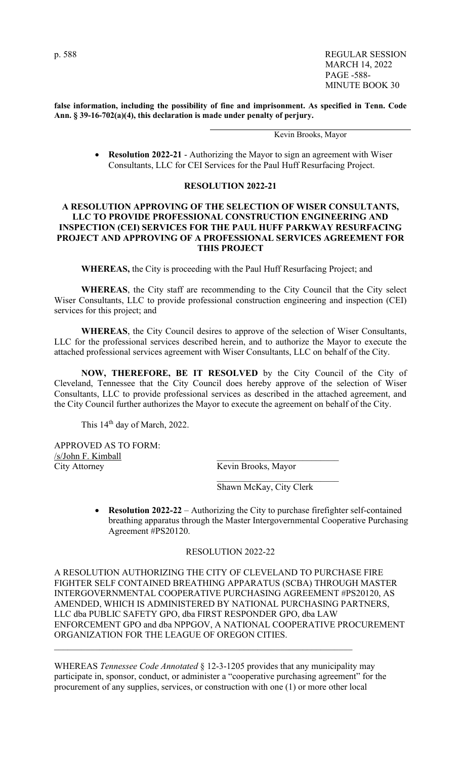p. 588 REGULAR SESSION MARCH 14, 2022 PAGE -588- MINUTE BOOK 30

**false information, including the possibility of fine and imprisonment. As specified in Tenn. Code Ann. § 39-16-702(a)(4), this declaration is made under penalty of perjury.**

Kevin Brooks, Mayor

• **Resolution 2022-21** - Authorizing the Mayor to sign an agreement with Wiser Consultants, LLC for CEI Services for the Paul Huff Resurfacing Project.

# **RESOLUTION 2022-21**

# **A RESOLUTION APPROVING OF THE SELECTION OF WISER CONSULTANTS, LLC TO PROVIDE PROFESSIONAL CONSTRUCTION ENGINEERING AND INSPECTION (CEI) SERVICES FOR THE PAUL HUFF PARKWAY RESURFACING PROJECT AND APPROVING OF A PROFESSIONAL SERVICES AGREEMENT FOR THIS PROJECT**

**WHEREAS,** the City is proceeding with the Paul Huff Resurfacing Project; and

**WHEREAS**, the City staff are recommending to the City Council that the City select Wiser Consultants, LLC to provide professional construction engineering and inspection (CEI) services for this project; and

**WHEREAS**, the City Council desires to approve of the selection of Wiser Consultants, LLC for the professional services described herein, and to authorize the Mayor to execute the attached professional services agreement with Wiser Consultants, LLC on behalf of the City.

**NOW, THEREFORE, BE IT RESOLVED** by the City Council of the City of Cleveland, Tennessee that the City Council does hereby approve of the selection of Wiser Consultants, LLC to provide professional services as described in the attached agreement, and the City Council further authorizes the Mayor to execute the agreement on behalf of the City.

This 14<sup>th</sup> day of March, 2022.

APPROVED AS TO FORM: /s/John F. Kimball City Attorney Kevin Brooks, Mayor

Shawn McKay, City Clerk

• **Resolution 2022-22** – Authorizing the City to purchase firefighter self-contained breathing apparatus through the Master Intergovernmental Cooperative Purchasing Agreement #PS20120.

RESOLUTION 2022-22

A RESOLUTION AUTHORIZING THE CITY OF CLEVELAND TO PURCHASE FIRE FIGHTER SELF CONTAINED BREATHING APPARATUS (SCBA) THROUGH MASTER INTERGOVERNMENTAL COOPERATIVE PURCHASING AGREEMENT #PS20120, AS AMENDED, WHICH IS ADMINISTERED BY NATIONAL PURCHASING PARTNERS, LLC dba PUBLIC SAFETY GPO, dba FIRST RESPONDER GPO, dba LAW ENFORCEMENT GPO and dba NPPGOV, A NATIONAL COOPERATIVE PROCUREMENT ORGANIZATION FOR THE LEAGUE OF OREGON CITIES.

WHEREAS *Tennessee Code Annotated* § 12-3-1205 provides that any municipality may participate in, sponsor, conduct, or administer a "cooperative purchasing agreement" for the procurement of any supplies, services, or construction with one (1) or more other local

 $\mathcal{L}_\text{G}$  , and the contribution of the contribution of the contribution of the contribution of the contribution of the contribution of the contribution of the contribution of the contribution of the contribution of t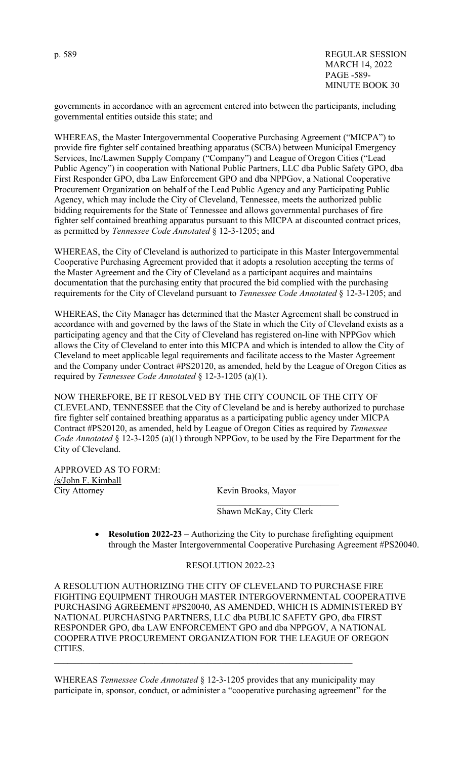p. 589 REGULAR SESSION MARCH 14, 2022 PAGE -589- MINUTE BOOK 30

governments in accordance with an agreement entered into between the participants, including governmental entities outside this state; and

WHEREAS, the Master Intergovernmental Cooperative Purchasing Agreement ("MICPA") to provide fire fighter self contained breathing apparatus (SCBA) between Municipal Emergency Services, Inc/Lawmen Supply Company ("Company") and League of Oregon Cities ("Lead Public Agency") in cooperation with National Public Partners, LLC dba Public Safety GPO, dba First Responder GPO, dba Law Enforcement GPO and dba NPPGov, a National Cooperative Procurement Organization on behalf of the Lead Public Agency and any Participating Public Agency, which may include the City of Cleveland, Tennessee, meets the authorized public bidding requirements for the State of Tennessee and allows governmental purchases of fire fighter self contained breathing apparatus pursuant to this MICPA at discounted contract prices, as permitted by *Tennessee Code Annotated* § 12-3-1205; and

WHEREAS, the City of Cleveland is authorized to participate in this Master Intergovernmental Cooperative Purchasing Agreement provided that it adopts a resolution accepting the terms of the Master Agreement and the City of Cleveland as a participant acquires and maintains documentation that the purchasing entity that procured the bid complied with the purchasing requirements for the City of Cleveland pursuant to *Tennessee Code Annotated* § 12-3-1205; and

WHEREAS, the City Manager has determined that the Master Agreement shall be construed in accordance with and governed by the laws of the State in which the City of Cleveland exists as a participating agency and that the City of Cleveland has registered on-line with NPPGov which allows the City of Cleveland to enter into this MICPA and which is intended to allow the City of Cleveland to meet applicable legal requirements and facilitate access to the Master Agreement and the Company under Contract #PS20120, as amended, held by the League of Oregon Cities as required by *Tennessee Code Annotated* § 12-3-1205 (a)(1).

NOW THEREFORE, BE IT RESOLVED BY THE CITY COUNCIL OF THE CITY OF CLEVELAND, TENNESSEE that the City of Cleveland be and is hereby authorized to purchase fire fighter self contained breathing apparatus as a participating public agency under MICPA Contract #PS20120, as amended, held by League of Oregon Cities as required by *Tennessee Code Annotated* § 12-3-1205 (a)(1) through NPPGov, to be used by the Fire Department for the City of Cleveland.

APPROVED AS TO FORM: /s/John F. Kimball City Attorney Kevin Brooks, Mayor

 $\mathcal{L}_\text{max}$  , which is a set of the contract of the contract of the contract of the contract of the contract of the contract of the contract of the contract of the contract of the contract of the contract of the contrac Shawn McKay, City Clerk

> • **Resolution 2022-23** – Authorizing the City to purchase firefighting equipment through the Master Intergovernmental Cooperative Purchasing Agreement #PS20040.

# RESOLUTION 2022-23

A RESOLUTION AUTHORIZING THE CITY OF CLEVELAND TO PURCHASE FIRE FIGHTING EQUIPMENT THROUGH MASTER INTERGOVERNMENTAL COOPERATIVE PURCHASING AGREEMENT #PS20040, AS AMENDED, WHICH IS ADMINISTERED BY NATIONAL PURCHASING PARTNERS, LLC dba PUBLIC SAFETY GPO, dba FIRST RESPONDER GPO, dba LAW ENFORCEMENT GPO and dba NPPGOV, A NATIONAL COOPERATIVE PROCUREMENT ORGANIZATION FOR THE LEAGUE OF OREGON CITIES.

WHEREAS *Tennessee Code Annotated* § 12-3-1205 provides that any municipality may participate in, sponsor, conduct, or administer a "cooperative purchasing agreement" for the

 $\mathcal{L}_\mathcal{L} = \mathcal{L}_\mathcal{L} = \mathcal{L}_\mathcal{L} = \mathcal{L}_\mathcal{L} = \mathcal{L}_\mathcal{L} = \mathcal{L}_\mathcal{L} = \mathcal{L}_\mathcal{L} = \mathcal{L}_\mathcal{L} = \mathcal{L}_\mathcal{L} = \mathcal{L}_\mathcal{L} = \mathcal{L}_\mathcal{L} = \mathcal{L}_\mathcal{L} = \mathcal{L}_\mathcal{L} = \mathcal{L}_\mathcal{L} = \mathcal{L}_\mathcal{L} = \mathcal{L}_\mathcal{L} = \mathcal{L}_\mathcal{L}$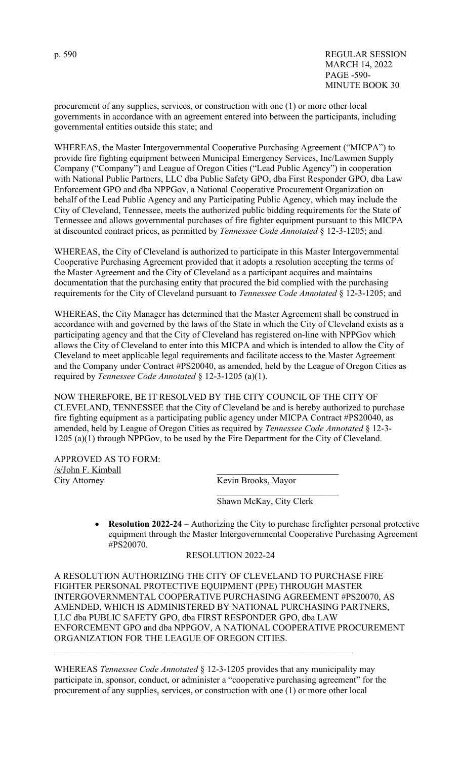p. 590 REGULAR SESSION MARCH 14, 2022 PAGE -590- MINUTE BOOK 30

procurement of any supplies, services, or construction with one (1) or more other local governments in accordance with an agreement entered into between the participants, including governmental entities outside this state; and

WHEREAS, the Master Intergovernmental Cooperative Purchasing Agreement ("MICPA") to provide fire fighting equipment between Municipal Emergency Services, Inc/Lawmen Supply Company ("Company") and League of Oregon Cities ("Lead Public Agency") in cooperation with National Public Partners, LLC dba Public Safety GPO, dba First Responder GPO, dba Law Enforcement GPO and dba NPPGov, a National Cooperative Procurement Organization on behalf of the Lead Public Agency and any Participating Public Agency, which may include the City of Cleveland, Tennessee, meets the authorized public bidding requirements for the State of Tennessee and allows governmental purchases of fire fighter equipment pursuant to this MICPA at discounted contract prices, as permitted by *Tennessee Code Annotated* § 12-3-1205; and

WHEREAS, the City of Cleveland is authorized to participate in this Master Intergovernmental Cooperative Purchasing Agreement provided that it adopts a resolution accepting the terms of the Master Agreement and the City of Cleveland as a participant acquires and maintains documentation that the purchasing entity that procured the bid complied with the purchasing requirements for the City of Cleveland pursuant to *Tennessee Code Annotated* § 12-3-1205; and

WHEREAS, the City Manager has determined that the Master Agreement shall be construed in accordance with and governed by the laws of the State in which the City of Cleveland exists as a participating agency and that the City of Cleveland has registered on-line with NPPGov which allows the City of Cleveland to enter into this MICPA and which is intended to allow the City of Cleveland to meet applicable legal requirements and facilitate access to the Master Agreement and the Company under Contract #PS20040, as amended, held by the League of Oregon Cities as required by *Tennessee Code Annotated* § 12-3-1205 (a)(1).

NOW THEREFORE, BE IT RESOLVED BY THE CITY COUNCIL OF THE CITY OF CLEVELAND, TENNESSEE that the City of Cleveland be and is hereby authorized to purchase fire fighting equipment as a participating public agency under MICPA Contract #PS20040, as amended, held by League of Oregon Cities as required by *Tennessee Code Annotated* § 12-3- 1205 (a)(1) through NPPGov, to be used by the Fire Department for the City of Cleveland.

APPROVED AS TO FORM: /s/John F. Kimball City Attorney Kevin Brooks, Mayor

 $\mathcal{L}_\text{max}$  , which is a set of the contract of the contract of the contract of the contract of the contract of the contract of the contract of the contract of the contract of the contract of the contract of the contrac Shawn McKay, City Clerk

> • **Resolution 2022-24** – Authorizing the City to purchase firefighter personal protective equipment through the Master Intergovernmental Cooperative Purchasing Agreement #PS20070.

> > RESOLUTION 2022-24

A RESOLUTION AUTHORIZING THE CITY OF CLEVELAND TO PURCHASE FIRE FIGHTER PERSONAL PROTECTIVE EQUIPMENT (PPE) THROUGH MASTER INTERGOVERNMENTAL COOPERATIVE PURCHASING AGREEMENT #PS20070, AS AMENDED, WHICH IS ADMINISTERED BY NATIONAL PURCHASING PARTNERS, LLC dba PUBLIC SAFETY GPO, dba FIRST RESPONDER GPO, dba LAW ENFORCEMENT GPO and dba NPPGOV, A NATIONAL COOPERATIVE PROCUREMENT ORGANIZATION FOR THE LEAGUE OF OREGON CITIES.

WHEREAS *Tennessee Code Annotated* § 12-3-1205 provides that any municipality may participate in, sponsor, conduct, or administer a "cooperative purchasing agreement" for the procurement of any supplies, services, or construction with one (1) or more other local

 $\mathcal{L}_\text{G}$  , and the contribution of the contribution of the contribution of the contribution of the contribution of the contribution of the contribution of the contribution of the contribution of the contribution of t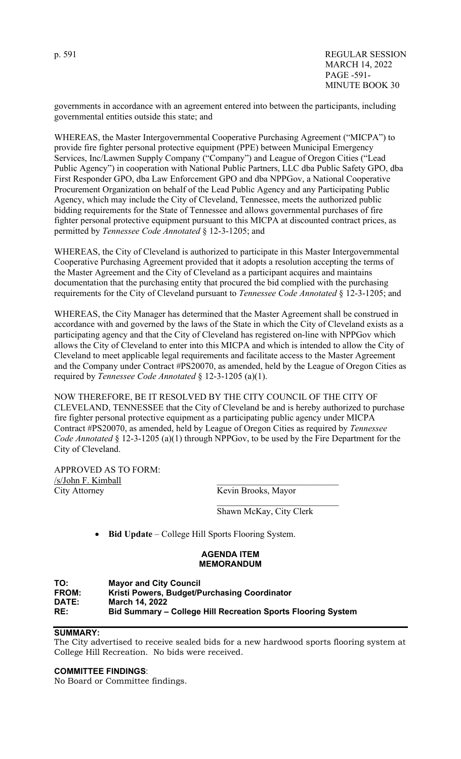p. 591 REGULAR SESSION MARCH 14, 2022 PAGE -591- MINUTE BOOK 30

governments in accordance with an agreement entered into between the participants, including governmental entities outside this state; and

WHEREAS, the Master Intergovernmental Cooperative Purchasing Agreement ("MICPA") to provide fire fighter personal protective equipment (PPE) between Municipal Emergency Services, Inc/Lawmen Supply Company ("Company") and League of Oregon Cities ("Lead Public Agency") in cooperation with National Public Partners, LLC dba Public Safety GPO, dba First Responder GPO, dba Law Enforcement GPO and dba NPPGov, a National Cooperative Procurement Organization on behalf of the Lead Public Agency and any Participating Public Agency, which may include the City of Cleveland, Tennessee, meets the authorized public bidding requirements for the State of Tennessee and allows governmental purchases of fire fighter personal protective equipment pursuant to this MICPA at discounted contract prices, as permitted by *Tennessee Code Annotated* § 12-3-1205; and

WHEREAS, the City of Cleveland is authorized to participate in this Master Intergovernmental Cooperative Purchasing Agreement provided that it adopts a resolution accepting the terms of the Master Agreement and the City of Cleveland as a participant acquires and maintains documentation that the purchasing entity that procured the bid complied with the purchasing requirements for the City of Cleveland pursuant to *Tennessee Code Annotated* § 12-3-1205; and

WHEREAS, the City Manager has determined that the Master Agreement shall be construed in accordance with and governed by the laws of the State in which the City of Cleveland exists as a participating agency and that the City of Cleveland has registered on-line with NPPGov which allows the City of Cleveland to enter into this MICPA and which is intended to allow the City of Cleveland to meet applicable legal requirements and facilitate access to the Master Agreement and the Company under Contract #PS20070, as amended, held by the League of Oregon Cities as required by *Tennessee Code Annotated* § 12-3-1205 (a)(1).

NOW THEREFORE, BE IT RESOLVED BY THE CITY COUNCIL OF THE CITY OF CLEVELAND, TENNESSEE that the City of Cleveland be and is hereby authorized to purchase fire fighter personal protective equipment as a participating public agency under MICPA Contract #PS20070, as amended, held by League of Oregon Cities as required by *Tennessee Code Annotated* § 12-3-1205 (a)(1) through NPPGov, to be used by the Fire Department for the City of Cleveland.

APPROVED AS TO FORM: /s/John F. Kimball City Attorney Kevin Brooks, Mayor

 $\mathcal{L}_\text{max}$  , which is a set of the contract of the contract of the contract of the contract of the contract of the contract of the contract of the contract of the contract of the contract of the contract of the contrac Shawn McKay, City Clerk

• **Bid Update** – College Hill Sports Flooring System.

#### **AGENDA ITEM MEMORANDUM**

**TO:** Mayor and City Council<br>**FROM:** Kristi Powers, Budget/P **Kristi Powers, Budget/Purchasing Coordinator DATE: March 14, 2022 RE: Bid Summary – College Hill Recreation Sports Flooring System**

#### **SUMMARY:**

The City advertised to receive sealed bids for a new hardwood sports flooring system at College Hill Recreation. No bids were received.

#### **COMMITTEE FINDINGS**:

No Board or Committee findings.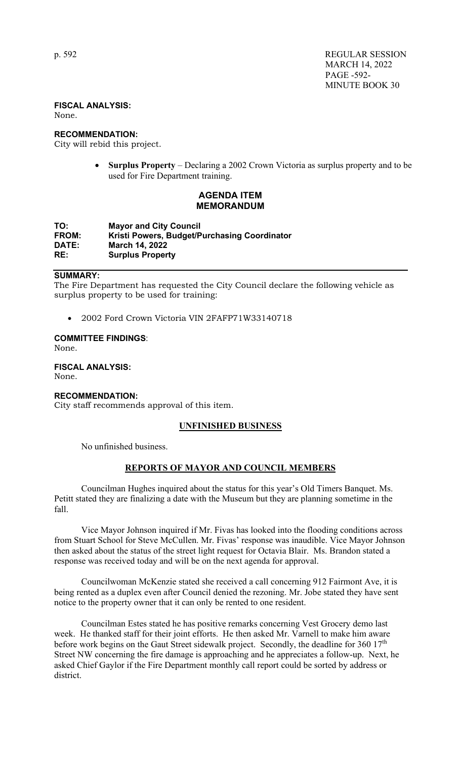**FISCAL ANALYSIS:**

None.

#### **RECOMMENDATION:**

City will rebid this project.

• **Surplus Property** – Declaring a 2002 Crown Victoria as surplus property and to be used for Fire Department training.

#### **AGENDA ITEM MEMORANDUM**

#### **TO:** Mayor and City Council<br>**FROM:** Kristi Powers. Budget/P **FROM: Kristi Powers, Budget/Purchasing Coordinator DATE: March 14, 2022 Surplus Property**

#### **SUMMARY:**

The Fire Department has requested the City Council declare the following vehicle as surplus property to be used for training:

• 2002 Ford Crown Victoria VIN 2FAFP71W33140718

#### **COMMITTEE FINDINGS**: None.

**FISCAL ANALYSIS:** None.

# **RECOMMENDATION:**

City staff recommends approval of this item.

# **UNFINISHED BUSINESS**

No unfinished business.

# **REPORTS OF MAYOR AND COUNCIL MEMBERS**

 Councilman Hughes inquired about the status for this year's Old Timers Banquet. Ms. Petitt stated they are finalizing a date with the Museum but they are planning sometime in the fall.

Vice Mayor Johnson inquired if Mr. Fivas has looked into the flooding conditions across from Stuart School for Steve McCullen. Mr. Fivas' response was inaudible. Vice Mayor Johnson then asked about the status of the street light request for Octavia Blair. Ms. Brandon stated a response was received today and will be on the next agenda for approval.

 Councilwoman McKenzie stated she received a call concerning 912 Fairmont Ave, it is being rented as a duplex even after Council denied the rezoning. Mr. Jobe stated they have sent notice to the property owner that it can only be rented to one resident.

 Councilman Estes stated he has positive remarks concerning Vest Grocery demo last week. He thanked staff for their joint efforts. He then asked Mr. Varnell to make him aware before work begins on the Gaut Street sidewalk project. Secondly, the deadline for 360 17<sup>th</sup> Street NW concerning the fire damage is approaching and he appreciates a follow-up. Next, he asked Chief Gaylor if the Fire Department monthly call report could be sorted by address or district.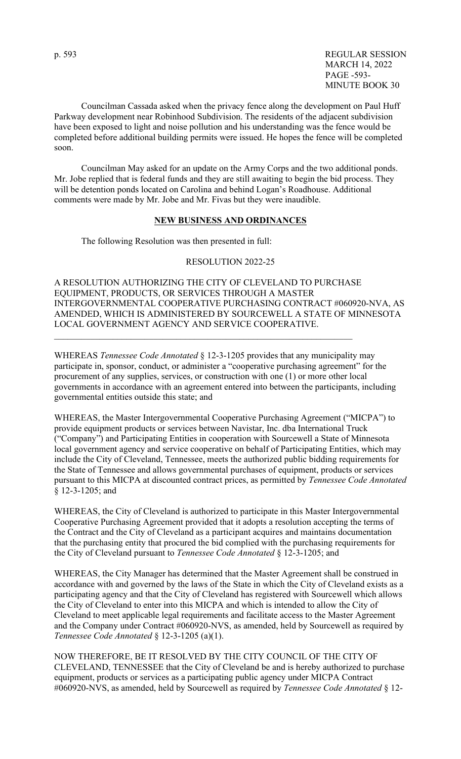p. 593 REGULAR SESSION MARCH 14, 2022 PAGE -593- MINUTE BOOK 30

 Councilman Cassada asked when the privacy fence along the development on Paul Huff Parkway development near Robinhood Subdivision. The residents of the adjacent subdivision have been exposed to light and noise pollution and his understanding was the fence would be completed before additional building permits were issued. He hopes the fence will be completed soon.

 Councilman May asked for an update on the Army Corps and the two additional ponds. Mr. Jobe replied that is federal funds and they are still awaiting to begin the bid process. They will be detention ponds located on Carolina and behind Logan's Roadhouse. Additional comments were made by Mr. Jobe and Mr. Fivas but they were inaudible.

#### **NEW BUSINESS AND ORDINANCES**

The following Resolution was then presented in full:

#### RESOLUTION 2022-25

A RESOLUTION AUTHORIZING THE CITY OF CLEVELAND TO PURCHASE EQUIPMENT, PRODUCTS, OR SERVICES THROUGH A MASTER INTERGOVERNMENTAL COOPERATIVE PURCHASING CONTRACT #060920-NVA, AS AMENDED, WHICH IS ADMINISTERED BY SOURCEWELL A STATE OF MINNESOTA LOCAL GOVERNMENT AGENCY AND SERVICE COOPERATIVE.

WHEREAS *Tennessee Code Annotated* § 12-3-1205 provides that any municipality may participate in, sponsor, conduct, or administer a "cooperative purchasing agreement" for the procurement of any supplies, services, or construction with one (1) or more other local governments in accordance with an agreement entered into between the participants, including governmental entities outside this state; and

 $\mathcal{L}_\text{G}$  , and the contribution of the contribution of the contribution of the contribution of the contribution of the contribution of the contribution of the contribution of the contribution of the contribution of t

WHEREAS, the Master Intergovernmental Cooperative Purchasing Agreement ("MICPA") to provide equipment products or services between Navistar, Inc. dba International Truck ("Company") and Participating Entities in cooperation with Sourcewell a State of Minnesota local government agency and service cooperative on behalf of Participating Entities, which may include the City of Cleveland, Tennessee, meets the authorized public bidding requirements for the State of Tennessee and allows governmental purchases of equipment, products or services pursuant to this MICPA at discounted contract prices, as permitted by *Tennessee Code Annotated* § 12-3-1205; and

WHEREAS, the City of Cleveland is authorized to participate in this Master Intergovernmental Cooperative Purchasing Agreement provided that it adopts a resolution accepting the terms of the Contract and the City of Cleveland as a participant acquires and maintains documentation that the purchasing entity that procured the bid complied with the purchasing requirements for the City of Cleveland pursuant to *Tennessee Code Annotated* § 12-3-1205; and

WHEREAS, the City Manager has determined that the Master Agreement shall be construed in accordance with and governed by the laws of the State in which the City of Cleveland exists as a participating agency and that the City of Cleveland has registered with Sourcewell which allows the City of Cleveland to enter into this MICPA and which is intended to allow the City of Cleveland to meet applicable legal requirements and facilitate access to the Master Agreement and the Company under Contract #060920-NVS, as amended, held by Sourcewell as required by *Tennessee Code Annotated* § 12-3-1205 (a)(1).

NOW THEREFORE, BE IT RESOLVED BY THE CITY COUNCIL OF THE CITY OF CLEVELAND, TENNESSEE that the City of Cleveland be and is hereby authorized to purchase equipment, products or services as a participating public agency under MICPA Contract #060920-NVS, as amended, held by Sourcewell as required by *Tennessee Code Annotated* § 12